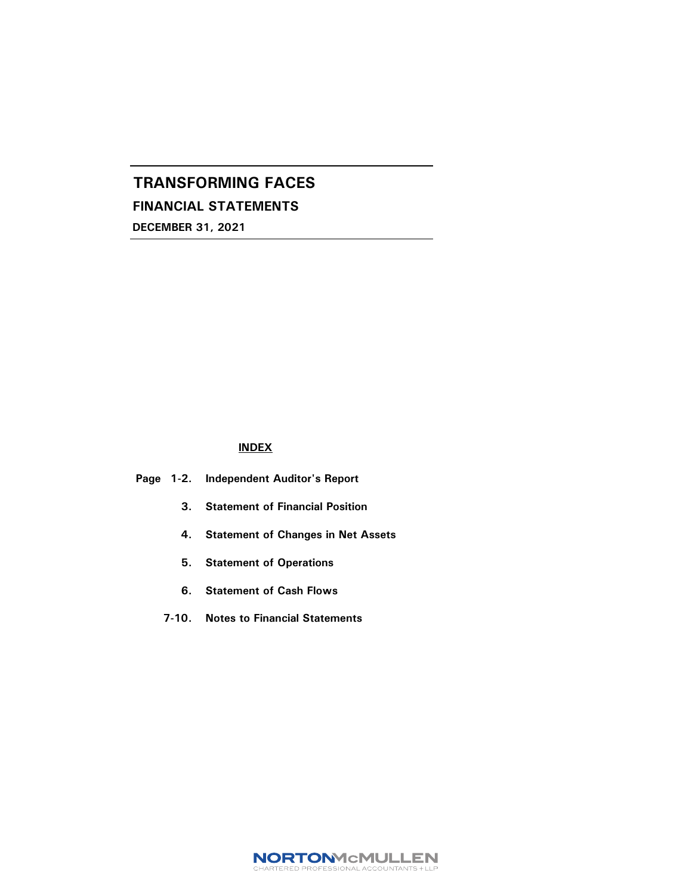FINANCIAL STATEMENTS

DECEMBER 31, 2021

### INDEX

### Page 1-2. Independent Auditor's Report

- 3. Statement of Financial Position
- 4. Statement of Changes in Net Assets
- 5. Statement of Operations
- 6. Statement of Cash Flows
- 7-10. Notes to Financial Statements

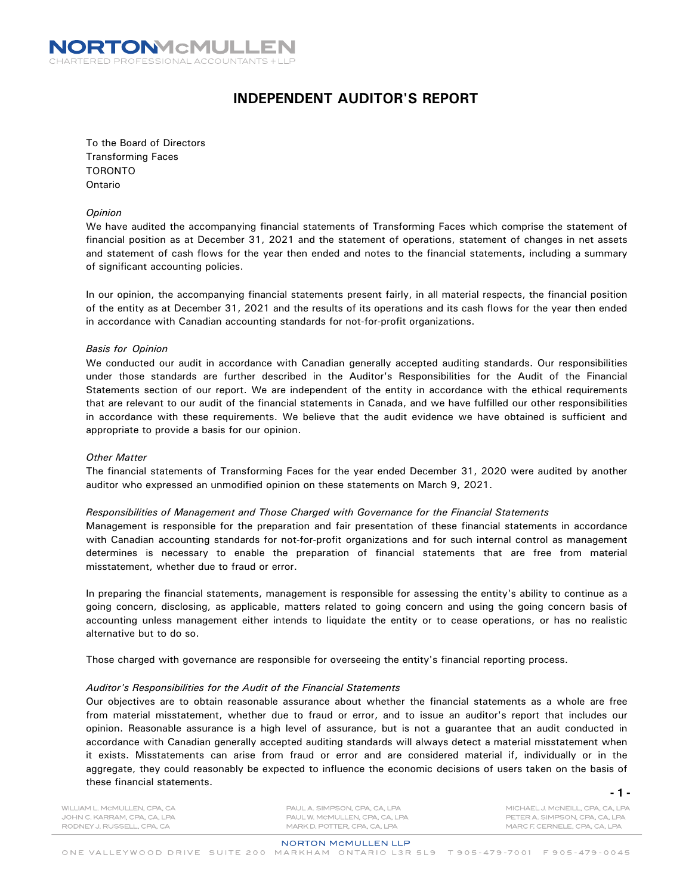

## INDEPENDENT AUDITOR'S REPORT

To the Board of Directors Transforming Faces TORONTO Ontario

#### Opinion

We have audited the accompanying financial statements of Transforming Faces which comprise the statement of financial position as at December 31, 2021 and the statement of operations, statement of changes in net assets and statement of cash flows for the year then ended and notes to the financial statements, including a summary of significant accounting policies.

In our opinion, the accompanying financial statements present fairly, in all material respects, the financial position of the entity as at December 31, 2021 and the results of its operations and its cash flows for the year then ended in accordance with Canadian accounting standards for not-for-profit organizations.

#### Basis for Opinion

We conducted our audit in accordance with Canadian generally accepted auditing standards. Our responsibilities under those standards are further described in the Auditor's Responsibilities for the Audit of the Financial Statements section of our report. We are independent of the entity in accordance with the ethical requirements that are relevant to our audit of the financial statements in Canada, and we have fulfilled our other responsibilities in accordance with these requirements. We believe that the audit evidence we have obtained is sufficient and appropriate to provide a basis for our opinion.

#### Other Matter

The financial statements of Transforming Faces for the year ended December 31, 2020 were audited by another auditor who expressed an unmodified opinion on these statements on March 9, 2021.

#### Responsibilities of Management and Those Charged with Governance for the Financial Statements

Management is responsible for the preparation and fair presentation of these financial statements in accordance with Canadian accounting standards for not-for-profit organizations and for such internal control as management determines is necessary to enable the preparation of financial statements that are free from material misstatement, whether due to fraud or error.

In preparing the financial statements, management is responsible for assessing the entity's ability to continue as a going concern, disclosing, as applicable, matters related to going concern and using the going concern basis of accounting unless management either intends to liquidate the entity or to cease operations, or has no realistic alternative but to do so.

Those charged with governance are responsible for overseeing the entity's financial reporting process.

#### Auditor's Responsibilities for the Audit of the Financial Statements

Our objectives are to obtain reasonable assurance about whether the financial statements as a whole are free from material misstatement, whether due to fraud or error, and to issue an auditor's report that includes our opinion. Reasonable assurance is a high level of assurance, but is not a guarantee that an audit conducted in accordance with Canadian generally accepted auditing standards will always detect a material misstatement when it exists. Misstatements can arise from fraud or error and are considered material if, individually or in the aggregate, they could reasonably be expected to influence the economic decisions of users taken on the basis of these financial statements.

WILLIAM L. MCMULLEN, CPA, CA JOHN C. KARRAM, CPA, CA, LPA RODNEY J. RUSSELL, CPA, CA

PAUL A. SIMPSON, CPA, CA, LPA PAUL W. MCMULLEN, CPA, CA, LPA MARK D. POTTER, CPA, CA, LPA

MICHAEL J. MCNEILL, CPA, CA, LPA PETER A. SIMPSON, CPA, CA, LPA MARC F. CERNELE, CPA, CA, LPA

#### **NORTON MCMULLEN LLP**

ONE VALLEYWOOD DRIVE SUITE 200 MARKHAM ONTARIO L3R 5L9 T 905-479-7001 F 905-479-0045

**- 1 -**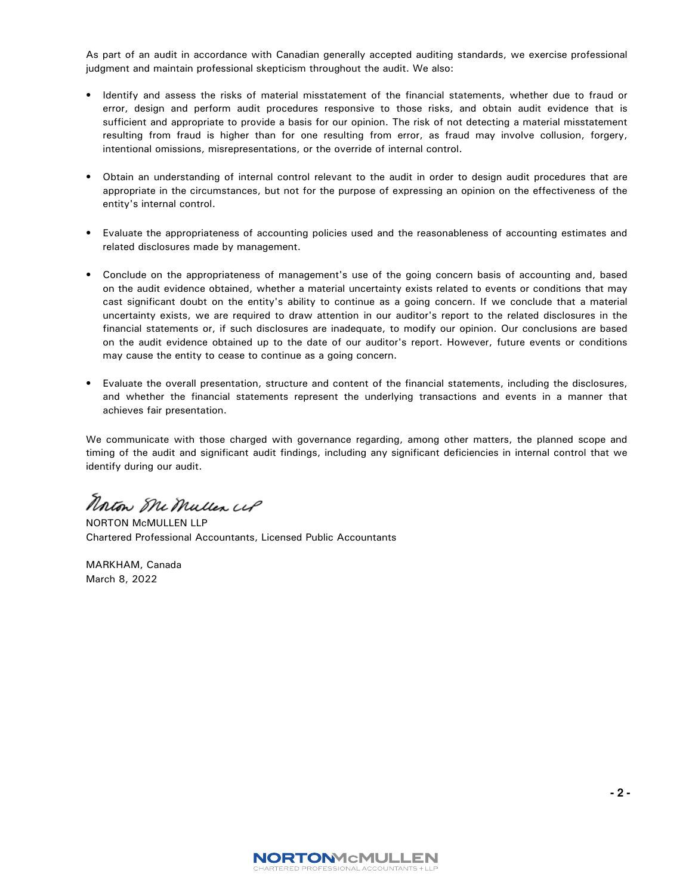As part of an audit in accordance with Canadian generally accepted auditing standards, we exercise professional judgment and maintain professional skepticism throughout the audit. We also:

- Identify and assess the risks of material misstatement of the financial statements, whether due to fraud or error, design and perform audit procedures responsive to those risks, and obtain audit evidence that is sufficient and appropriate to provide a basis for our opinion. The risk of not detecting a material misstatement resulting from fraud is higher than for one resulting from error, as fraud may involve collusion, forgery, intentional omissions, misrepresentations, or the override of internal control.
- Obtain an understanding of internal control relevant to the audit in order to design audit procedures that are appropriate in the circumstances, but not for the purpose of expressing an opinion on the effectiveness of the entity's internal control.
- Evaluate the appropriateness of accounting policies used and the reasonableness of accounting estimates and related disclosures made by management.
- Conclude on the appropriateness of management's use of the going concern basis of accounting and, based on the audit evidence obtained, whether a material uncertainty exists related to events or conditions that may cast significant doubt on the entity's ability to continue as a going concern. If we conclude that a material uncertainty exists, we are required to draw attention in our auditor's report to the related disclosures in the financial statements or, if such disclosures are inadequate, to modify our opinion. Our conclusions are based on the audit evidence obtained up to the date of our auditor's report. However, future events or conditions may cause the entity to cease to continue as a going concern.
- Evaluate the overall presentation, structure and content of the financial statements, including the disclosures, and whether the financial statements represent the underlying transactions and events in a manner that achieves fair presentation.

We communicate with those charged with governance regarding, among other matters, the planned scope and timing of the audit and significant audit findings, including any significant deficiencies in internal control that we identify during our audit.

Norton Me Muller UP

NORTON McMULLEN LLP Chartered Professional Accountants, Licensed Public Accountants

MARKHAM, Canada March 8, 2022

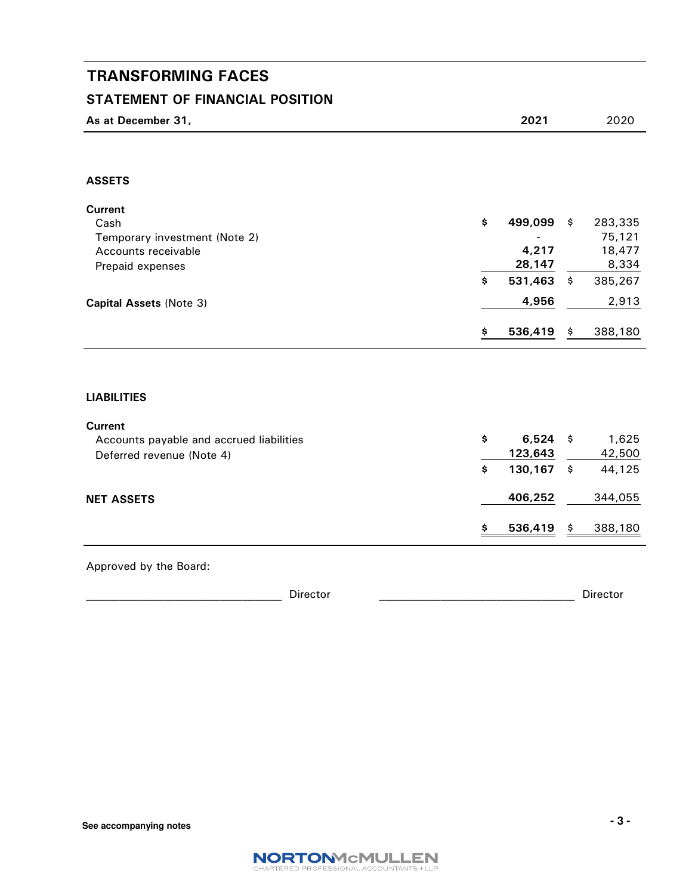## STATEMENT OF FINANCIAL POSITION

| As at December 31, | 2021 | 2020 |
|--------------------|------|------|

## ASSETS

| <b>Current</b><br>Cash<br>Temporary investment (Note 2)<br>Accounts receivable<br>Prepaid expenses | \$       | 499,099<br>4,217<br>28,147       | \$<br>283,335<br>75,121<br>18,477<br>8,334 |
|----------------------------------------------------------------------------------------------------|----------|----------------------------------|--------------------------------------------|
| Capital Assets (Note 3)                                                                            | \$       | 531,463<br>4,956                 | \$<br>385,267<br>2,913                     |
|                                                                                                    | \$       | 536,419                          | \$<br>388,180                              |
| <b>LIABILITIES</b>                                                                                 |          |                                  |                                            |
| <b>Current</b><br>Accounts payable and accrued liabilities<br>Deferred revenue (Note 4)            | \$<br>\$ | $6,524$ \$<br>123,643<br>130,167 | \$<br>1,625<br>42,500<br>44,125            |

## NET ASSETS 2006,252 344,055

Approved by the Board:

| -<br>Director | ---<br>. |
|---------------|----------|
|               |          |

\$ 536,419 \$ 388,180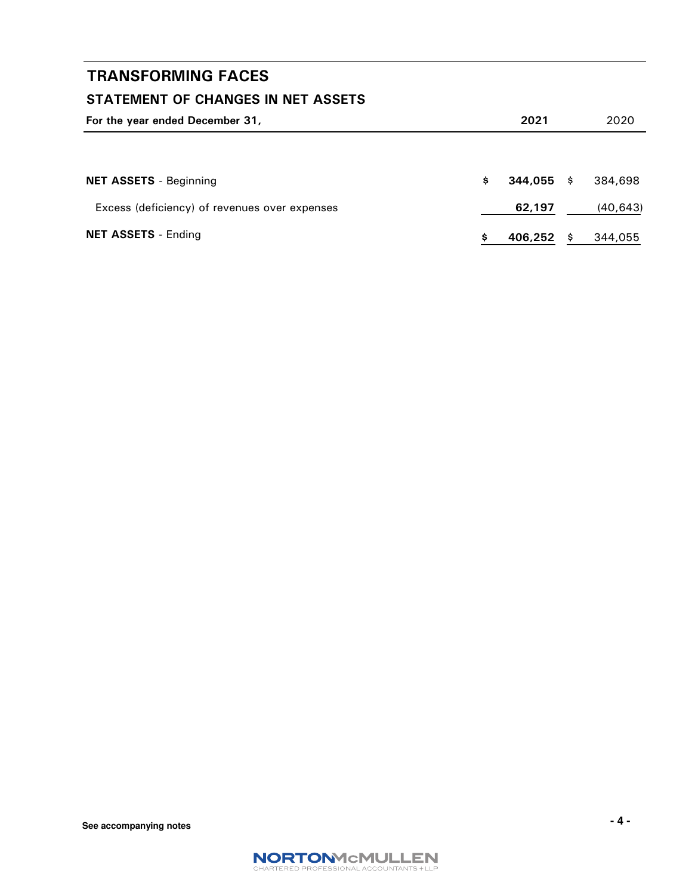## STATEMENT OF CHANGES IN NET ASSETS

| For the year ended December 31,               |   | 2021         |      | 2020     |
|-----------------------------------------------|---|--------------|------|----------|
|                                               |   |              |      |          |
| <b>NET ASSETS</b> - Beginning                 | s | $344.055$ \$ |      | 384,698  |
| Excess (deficiency) of revenues over expenses |   | 62,197       |      | (40,643) |
| <b>NET ASSETS - Ending</b>                    |   | 406,252      | - \$ | 344,055  |

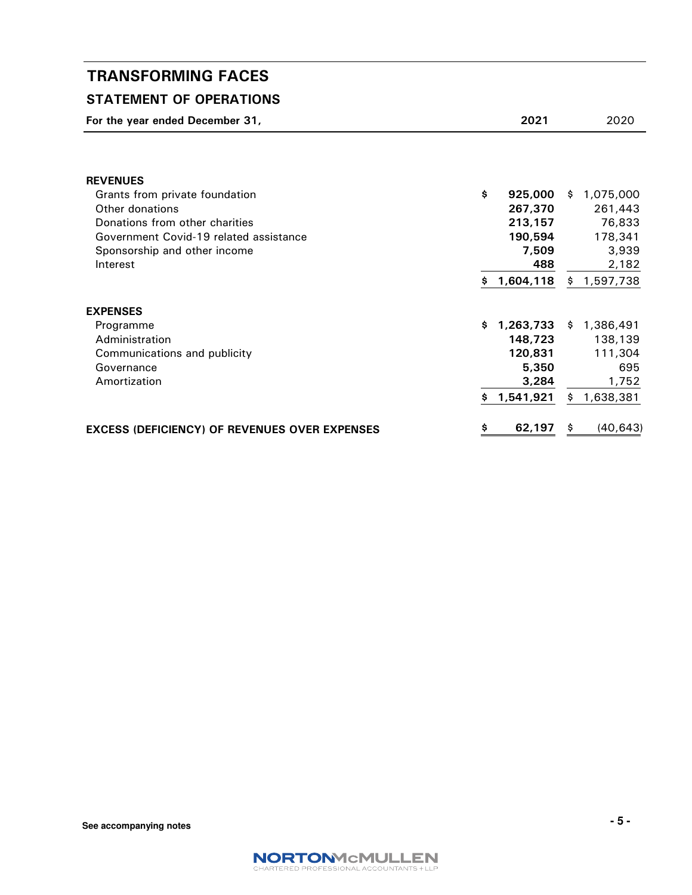## STATEMENT OF OPERATIONS

| For the year ended December 31,                      |    | 2021      | 2020            |
|------------------------------------------------------|----|-----------|-----------------|
|                                                      |    |           |                 |
| <b>REVENUES</b>                                      |    |           |                 |
| Grants from private foundation                       | \$ | 925,000   | \$1,075,000     |
| Other donations                                      |    | 267,370   | 261,443         |
| Donations from other charities                       |    | 213,157   | 76,833          |
| Government Covid-19 related assistance               |    | 190,594   | 178,341         |
| Sponsorship and other income                         |    | 7,509     | 3,939           |
| Interest                                             |    | 488       | 2,182           |
|                                                      | \$ | 1,604,118 | \$1,597,738     |
| <b>EXPENSES</b>                                      |    |           |                 |
| Programme                                            | Ŝ. | 1,263,733 | \$1,386,491     |
| Administration                                       |    | 148,723   | 138,139         |
| Communications and publicity                         |    | 120,831   | 111,304         |
| Governance                                           |    | 5,350     | 695             |
| Amortization                                         |    | 3,284     | 1,752           |
|                                                      | \$ | 1,541,921 | \$<br>1,638,381 |
| <b>EXCESS (DEFICIENCY) OF REVENUES OVER EXPENSES</b> | \$ | 62,197    | \$<br>(40, 643) |

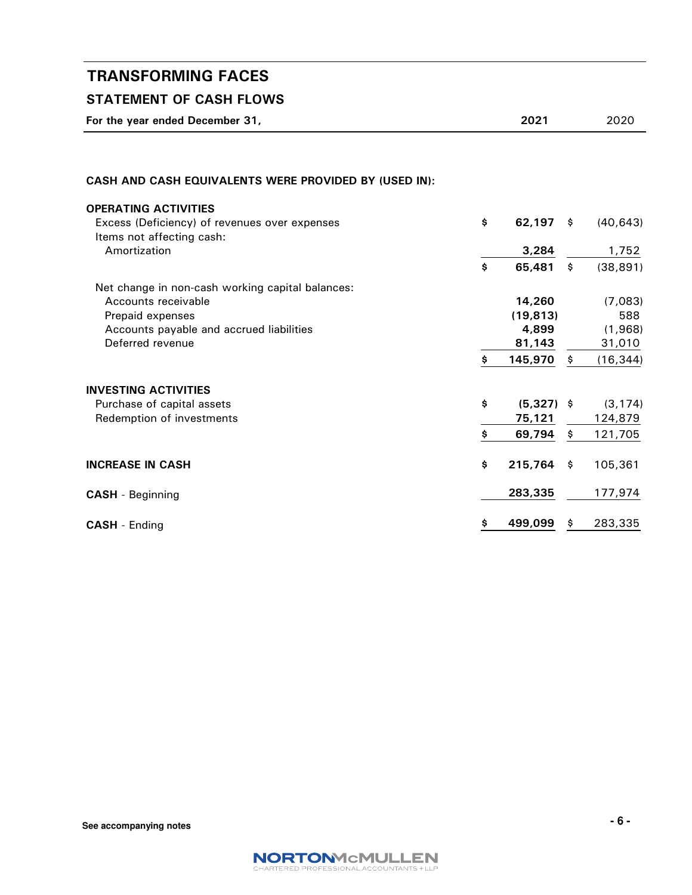## STATEMENT OF CASH FLOWS

For the year ended December 31, 2020 2021 2020

### CASH AND CASH EQUIVALENTS WERE PROVIDED BY (USED IN):

| <b>OPERATING ACTIVITIES</b>                      |                    |     |           |
|--------------------------------------------------|--------------------|-----|-----------|
| Excess (Deficiency) of revenues over expenses    | \$<br>62,197       | \$  | (40, 643) |
| Items not affecting cash:                        |                    |     |           |
| Amortization                                     | 3,284              |     | 1,752     |
|                                                  | \$<br>65,481       | \$  | (38, 891) |
| Net change in non-cash working capital balances: |                    |     |           |
| Accounts receivable                              | 14,260             |     | (7,083)   |
| Prepaid expenses                                 | (19, 813)          |     | 588       |
| Accounts payable and accrued liabilities         | 4,899              |     | (1,968)   |
| Deferred revenue                                 | 81,143             |     | 31,010    |
|                                                  | \$<br>145,970      | \$  | (16, 344) |
| <b>INVESTING ACTIVITIES</b>                      |                    |     |           |
| Purchase of capital assets                       | \$<br>$(5,327)$ \$ |     | (3, 174)  |
| Redemption of investments                        | 75,121             |     | 124,879   |
|                                                  | \$<br>69,794       | \$  | 121,705   |
| <b>INCREASE IN CASH</b>                          | \$<br>215,764      | -\$ | 105,361   |
| <b>CASH</b> - Beginning                          | 283,335            |     | 177,974   |
| <b>CASH</b> - Ending                             | \$<br>499,099      | Ş.  | 283,335   |

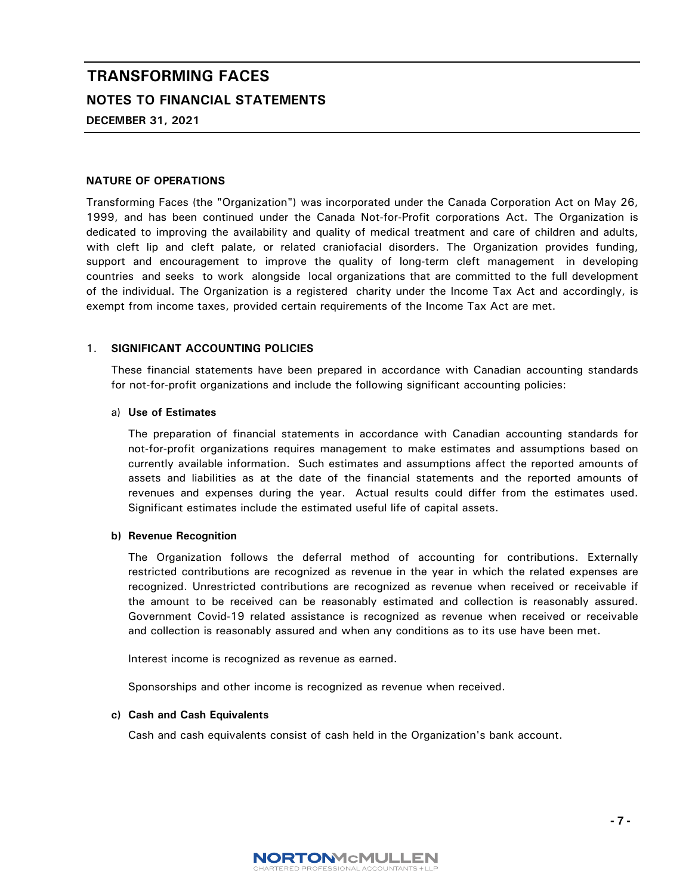# TRANSFORMING FACES NOTES TO FINANCIAL STATEMENTS

DECEMBER 31, 2021

### NATURE OF OPERATIONS

Transforming Faces (the "Organization") was incorporated under the Canada Corporation Act on May 26, 1999, and has been continued under the Canada Not-for-Profit corporations Act. The Organization is dedicated to improving the availability and quality of medical treatment and care of children and adults, with cleft lip and cleft palate, or related craniofacial disorders. The Organization provides funding, support and encouragement to improve the quality of long-term cleft management in developing countries and seeks to work alongside local organizations that are committed to the full development of the individual. The Organization is a registered charity under the Income Tax Act and accordingly, is exempt from income taxes, provided certain requirements of the Income Tax Act are met.

### 1. SIGNIFICANT ACCOUNTING POLICIES

These financial statements have been prepared in accordance with Canadian accounting standards for not-for-profit organizations and include the following significant accounting policies:

#### a) Use of Estimates

The preparation of financial statements in accordance with Canadian accounting standards for not-for-profit organizations requires management to make estimates and assumptions based on currently available information. Such estimates and assumptions affect the reported amounts of assets and liabilities as at the date of the financial statements and the reported amounts of revenues and expenses during the year. Actual results could differ from the estimates used. Significant estimates include the estimated useful life of capital assets.

#### b) Revenue Recognition

The Organization follows the deferral method of accounting for contributions. Externally restricted contributions are recognized as revenue in the year in which the related expenses are recognized. Unrestricted contributions are recognized as revenue when received or receivable if the amount to be received can be reasonably estimated and collection is reasonably assured. Government Covid-19 related assistance is recognized as revenue when received or receivable and collection is reasonably assured and when any conditions as to its use have been met.

Interest income is recognized as revenue as earned.

Sponsorships and other income is recognized as revenue when received.

#### c) Cash and Cash Equivalents

Cash and cash equivalents consist of cash held in the Organization's bank account.

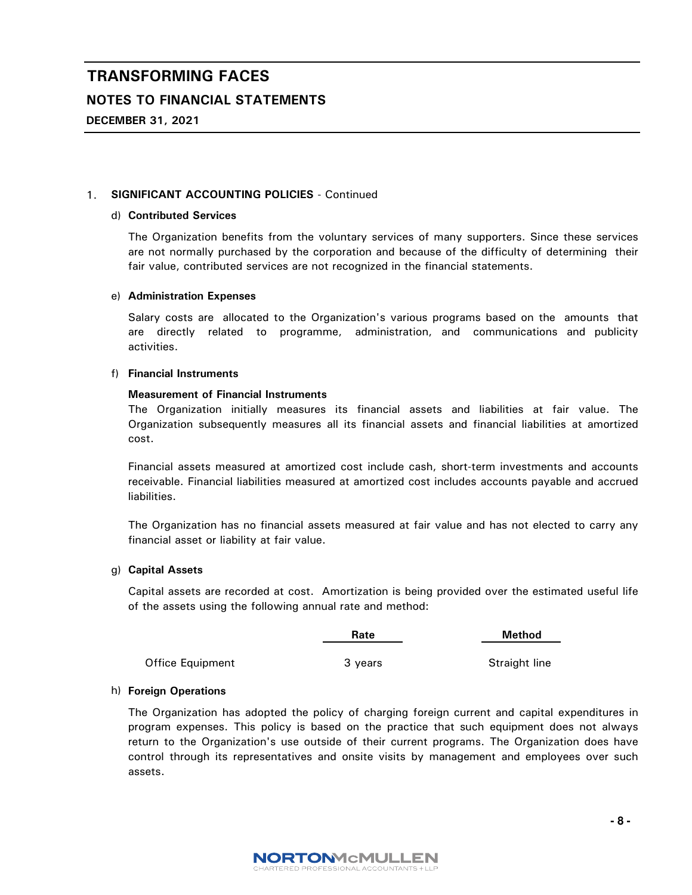### NOTES TO FINANCIAL STATEMENTS

DECEMBER 31, 2021

### 1. SIGNIFICANT ACCOUNTING POLICIES - Continued

### d) Contributed Services

The Organization benefits from the voluntary services of many supporters. Since these services are not normally purchased by the corporation and because of the difficulty of determining their fair value, contributed services are not recognized in the financial statements.

### e) Administration Expenses

Salary costs are allocated to the Organization's various programs based on the amounts that are directly related to programme, administration, and communications and publicity activities.

### f) Financial Instruments

### Measurement of Financial Instruments

The Organization initially measures its financial assets and liabilities at fair value. The Organization subsequently measures all its financial assets and financial liabilities at amortized cost.

Financial assets measured at amortized cost include cash, short-term investments and accounts receivable. Financial liabilities measured at amortized cost includes accounts payable and accrued liabilities.

The Organization has no financial assets measured at fair value and has not elected to carry any financial asset or liability at fair value.

### g) Capital Assets

Capital assets are recorded at cost. Amortization is being provided over the estimated useful life of the assets using the following annual rate and method:

|                  | Rate    |               |
|------------------|---------|---------------|
| Office Equipment | 3 vears | Straight line |

#### h) Foreign Operations

The Organization has adopted the policy of charging foreign current and capital expenditures in program expenses. This policy is based on the practice that such equipment does not always return to the Organization's use outside of their current programs. The Organization does have control through its representatives and onsite visits by management and employees over such assets.

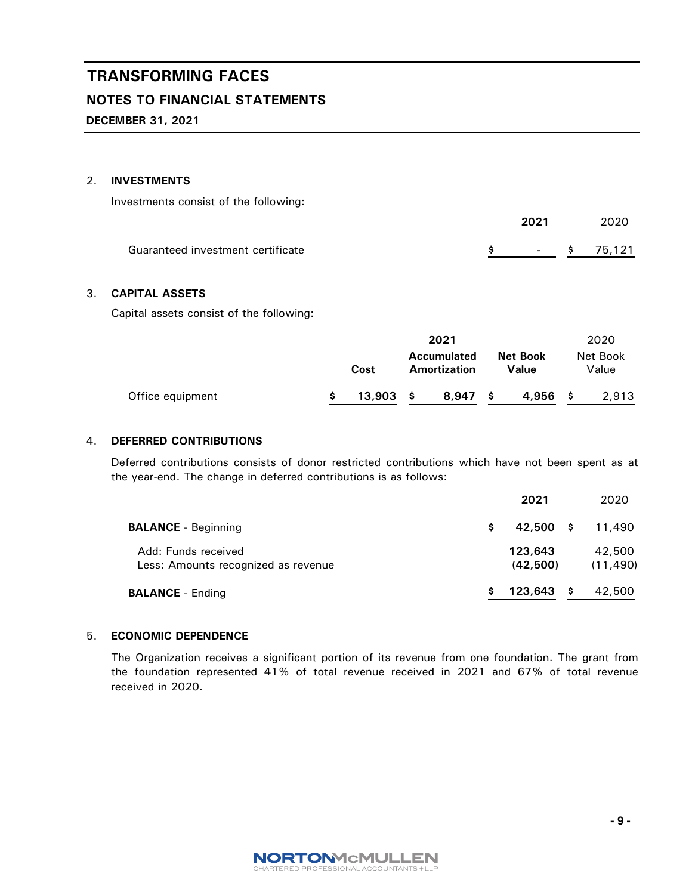### NOTES TO FINANCIAL STATEMENTS

DECEMBER 31, 2021

### 2. INVESTMENTS

Investments consist of the following:

|                                   | 2021 | 2020                                 |
|-----------------------------------|------|--------------------------------------|
| Guaranteed investment certificate |      | $\frac{1}{2}$ - $\frac{1}{2}$ 75.121 |

### 3. CAPITAL ASSETS

Capital assets consist of the following:

|                  | 2021        |                                           |  | 2020                     |  |                   |
|------------------|-------------|-------------------------------------------|--|--------------------------|--|-------------------|
|                  | Cost        | <b>Accumulated</b><br><b>Amortization</b> |  | <b>Net Book</b><br>Value |  | Net Book<br>Value |
| Office equipment | $13.903$ \$ | $8.947$ \$                                |  | 4,956                    |  | 2,913             |

### 4. DEFERRED CONTRIBUTIONS

Deferred contributions consists of donor restricted contributions which have not been spent as at the year-end. The change in deferred contributions is as follows:

|                                                            |     | 2021                |      | 2020                |
|------------------------------------------------------------|-----|---------------------|------|---------------------|
| <b>BALANCE</b> - Beginning                                 | \$. | 42,500              | - \$ | 11,490              |
| Add: Funds received<br>Less: Amounts recognized as revenue |     | 123,643<br>(42,500) |      | 42,500<br>(11, 490) |
| <b>BALANCE</b> - Ending                                    |     | 123,643             |      | 42,500              |

### 5. ECONOMIC DEPENDENCE

The Organization receives a significant portion of its revenue from one foundation. The grant from the foundation represented 41% of total revenue received in 2021 and 67% of total revenue received in 2020.